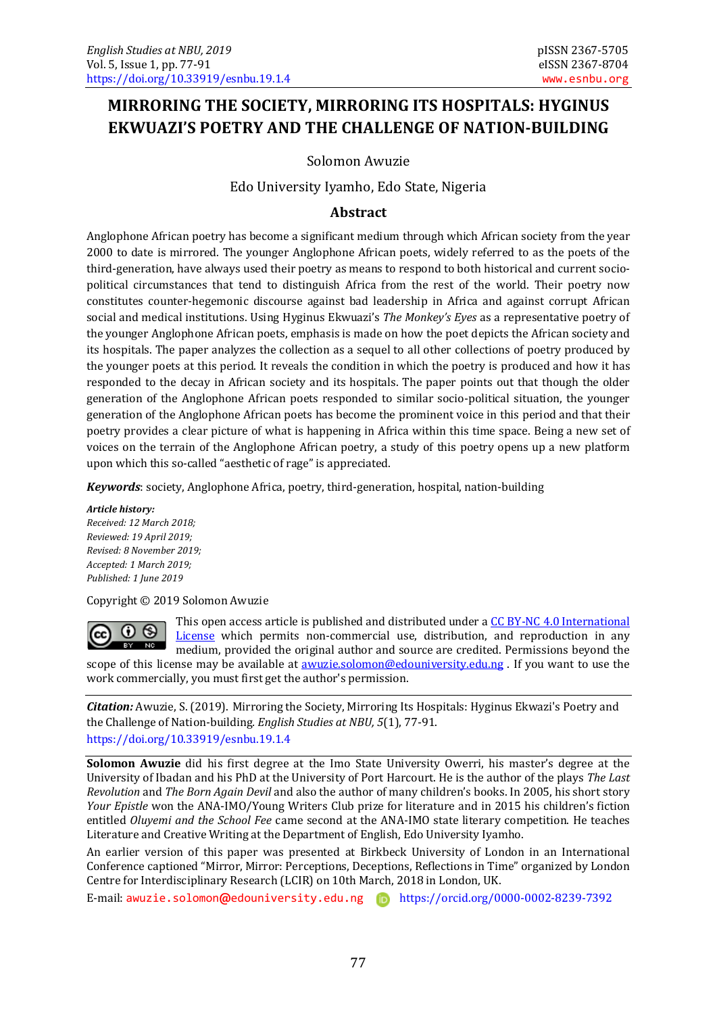# **MIRRORING THE SOCIETY, MIRRORING ITS HOSPITALS: HYGINUS EKWUAZI'S POETRY AND THE CHALLENGE OF NATION-BUILDING**

Solomon Awuzie

Edo University Iyamho, Edo State, Nigeria

#### **Abstract**

Anglophone African poetry has become a significant medium through which African society from the year 2000 to date is mirrored. The younger Anglophone African poets, widely referred to as the poets of the third-generation, have always used their poetry as means to respond to both historical and current sociopolitical circumstances that tend to distinguish Africa from the rest of the world. Their poetry now constitutes counter-hegemonic discourse against bad leadership in Africa and against corrupt African social and medical institutions. Using Hyginus Ekwuazi's *The Monkey's Eyes* as a representative poetry of the younger Anglophone African poets, emphasis is made on how the poet depicts the African society and its hospitals. The paper analyzes the collection as a sequel to all other collections of poetry produced by the younger poets at this period. It reveals the condition in which the poetry is produced and how it has responded to the decay in African society and its hospitals. The paper points out that though the older generation of the Anglophone African poets responded to similar socio-political situation, the younger generation of the Anglophone African poets has become the prominent voice in this period and that their poetry provides a clear picture of what is happening in Africa within this time space. Being a new set of voices on the terrain of the Anglophone African poetry, a study of this poetry opens up a new platform upon which this so-called "aesthetic of rage" is appreciated.

*Keywords*: society, Anglophone Africa, poetry, third-generation, hospital, nation-building

*Article history:*

*Received: 12 March 2018; Reviewed: 19 April 2019; Revised: 8 November 2019; Accepted: 1 March 2019; Published: 1 June 2019*

Copyright © 2019 Solomon Awuzie

 $\odot$   $\odot$  $BY$  NC

This open access article is published and distributed under a [CC BY-NC 4.0 International](http://creativecommons.org/licenses/by-nc/4.0/)  [License](http://creativecommons.org/licenses/by-nc/4.0/) which permits non-commercial use, distribution, and reproduction in any medium, provided the original author and source are credited. Permissions beyond the scope of this license may be available at **awuzie.solomon@edouniversity.edu.ng** . If you want to use the work commercially, you must first get the author's permission.

*Citation:* Awuzie, S. (2019). Mirroring the Society, Mirroring Its Hospitals: Hyginus Ekwazi's Poetry and the Challenge of Nation-building*. English Studies at NBU, 5*(1), 77-91. <https://doi.org/10.33919/esnbu.19.1.4>

**Solomon Awuzie** did his first degree at the Imo State University Owerri, his master's degree at the University of Ibadan and his PhD at the University of Port Harcourt. He is the author of the plays *The Last Revolution* and *The Born Again Devil* and also the author of many children's books. In 2005, his short story *Your Epistle* won the ANA-IMO/Young Writers Club prize for literature and in 2015 his children's fiction entitled *Oluyemi and the School Fee* came second at the ANA-IMO state literary competition. He teaches Literature and Creative Writing at the Department of English, Edo University Iyamho.

An earlier version of this paper was presented at Birkbeck University of London in an International Conference captioned "Mirror, Mirror: Perceptions, Deceptions, Reflections in Time" organized by London Centre for Interdisciplinary Research (LCIR) on 10th March, 2018 in London, UK.

E-mail: awuzie.solomon**@**[edouniversity.edu.ng](mailto:awuzie.solomon@edouniversity.edu.ng) <https://orcid.org/0000-0002-8239-7392>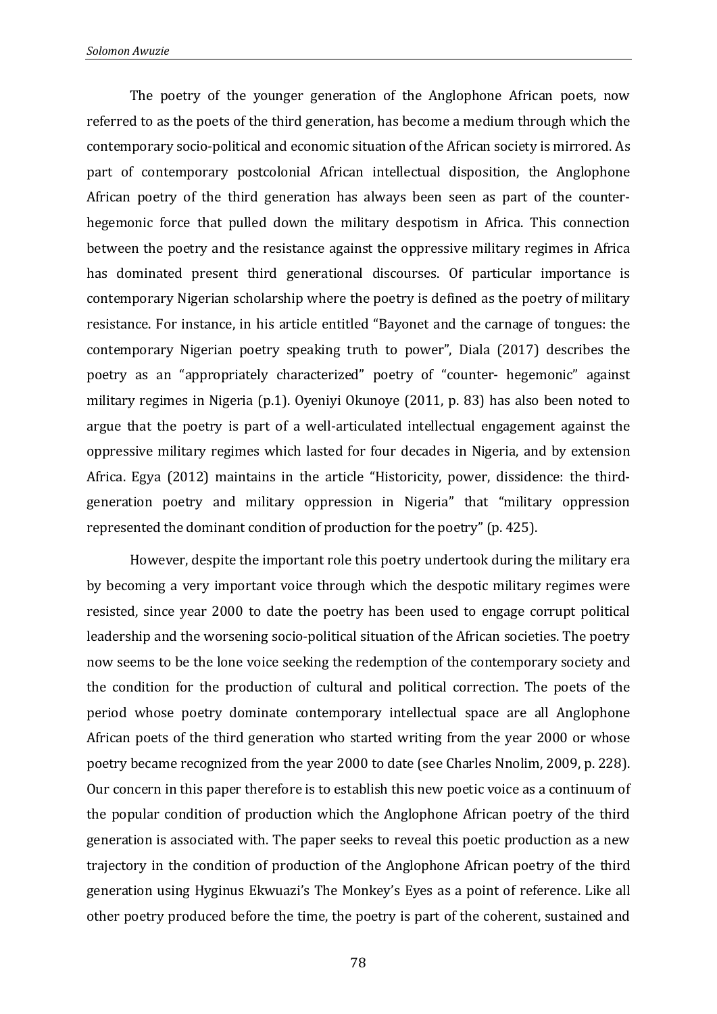The poetry of the younger generation of the Anglophone African poets, now referred to as the poets of the third generation, has become a medium through which the contemporary socio-political and economic situation of the African society is mirrored. As part of contemporary postcolonial African intellectual disposition, the Anglophone African poetry of the third generation has always been seen as part of the counterhegemonic force that pulled down the military despotism in Africa. This connection between the poetry and the resistance against the oppressive military regimes in Africa has dominated present third generational discourses. Of particular importance is contemporary Nigerian scholarship where the poetry is defined as the poetry of military resistance. For instance, in his article entitled "Bayonet and the carnage of tongues: the contemporary Nigerian poetry speaking truth to power", Diala (2017) describes the poetry as an "appropriately characterized" poetry of "counter- hegemonic" against military regimes in Nigeria (p.1). Oyeniyi Okunoye (2011, p. 83) has also been noted to argue that the poetry is part of a well-articulated intellectual engagement against the oppressive military regimes which lasted for four decades in Nigeria, and by extension Africa. Egya (2012) maintains in the article "Historicity, power, dissidence: the thirdgeneration poetry and military oppression in Nigeria" that "military oppression represented the dominant condition of production for the poetry" (p. 425).

However, despite the important role this poetry undertook during the military era by becoming a very important voice through which the despotic military regimes were resisted, since year 2000 to date the poetry has been used to engage corrupt political leadership and the worsening socio-political situation of the African societies. The poetry now seems to be the lone voice seeking the redemption of the contemporary society and the condition for the production of cultural and political correction. The poets of the period whose poetry dominate contemporary intellectual space are all Anglophone African poets of the third generation who started writing from the year 2000 or whose poetry became recognized from the year 2000 to date (see Charles Nnolim, 2009, p. 228). Our concern in this paper therefore is to establish this new poetic voice as a continuum of the popular condition of production which the Anglophone African poetry of the third generation is associated with. The paper seeks to reveal this poetic production as a new trajectory in the condition of production of the Anglophone African poetry of the third generation using Hyginus Ekwuazi's The Monkey's Eyes as a point of reference. Like all other poetry produced before the time, the poetry is part of the coherent, sustained and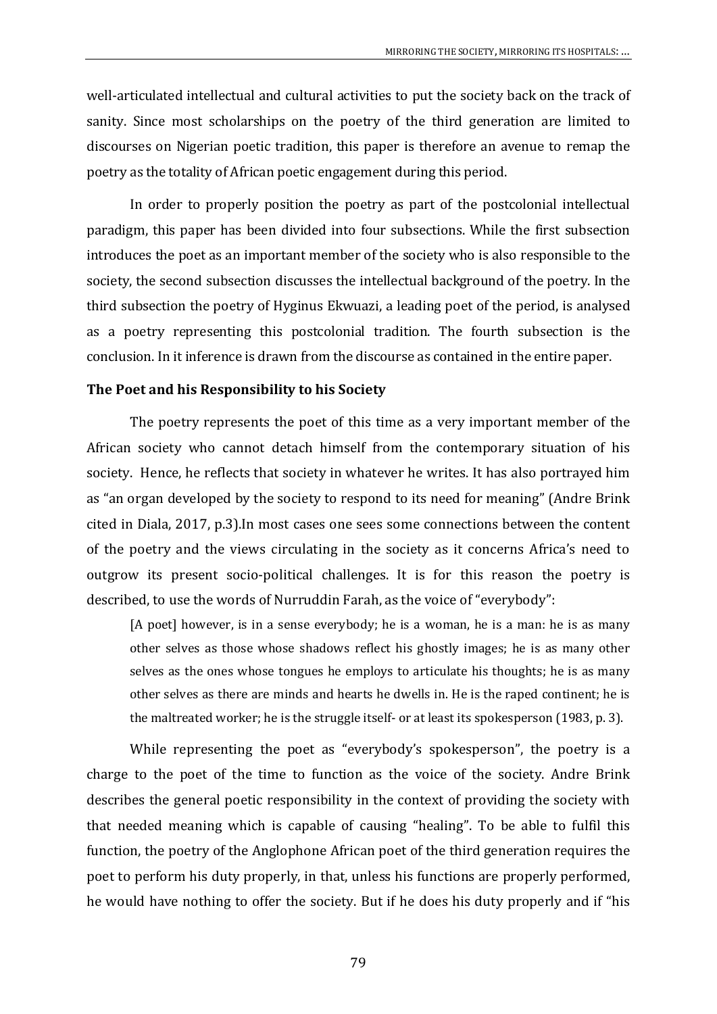well-articulated intellectual and cultural activities to put the society back on the track of sanity. Since most scholarships on the poetry of the third generation are limited to discourses on Nigerian poetic tradition, this paper is therefore an avenue to remap the poetry as the totality of African poetic engagement during this period.

In order to properly position the poetry as part of the postcolonial intellectual paradigm, this paper has been divided into four subsections. While the first subsection introduces the poet as an important member of the society who is also responsible to the society, the second subsection discusses the intellectual background of the poetry. In the third subsection the poetry of Hyginus Ekwuazi, a leading poet of the period, is analysed as a poetry representing this postcolonial tradition. The fourth subsection is the conclusion. In it inference is drawn from the discourse as contained in the entire paper.

## **The Poet and his Responsibility to his Society**

The poetry represents the poet of this time as a very important member of the African society who cannot detach himself from the contemporary situation of his society. Hence, he reflects that society in whatever he writes. It has also portrayed him as "an organ developed by the society to respond to its need for meaning" (Andre Brink cited in Diala, 2017, p.3).In most cases one sees some connections between the content of the poetry and the views circulating in the society as it concerns Africa's need to outgrow its present socio-political challenges. It is for this reason the poetry is described, to use the words of Nurruddin Farah, as the voice of "everybody":

[A poet] however, is in a sense everybody; he is a woman, he is a man: he is as many other selves as those whose shadows reflect his ghostly images; he is as many other selves as the ones whose tongues he employs to articulate his thoughts; he is as many other selves as there are minds and hearts he dwells in. He is the raped continent; he is the maltreated worker; he is the struggle itself- or at least its spokesperson (1983, p. 3).

While representing the poet as "everybody's spokesperson", the poetry is a charge to the poet of the time to function as the voice of the society. Andre Brink describes the general poetic responsibility in the context of providing the society with that needed meaning which is capable of causing "healing". To be able to fulfil this function, the poetry of the Anglophone African poet of the third generation requires the poet to perform his duty properly, in that, unless his functions are properly performed, he would have nothing to offer the society. But if he does his duty properly and if "his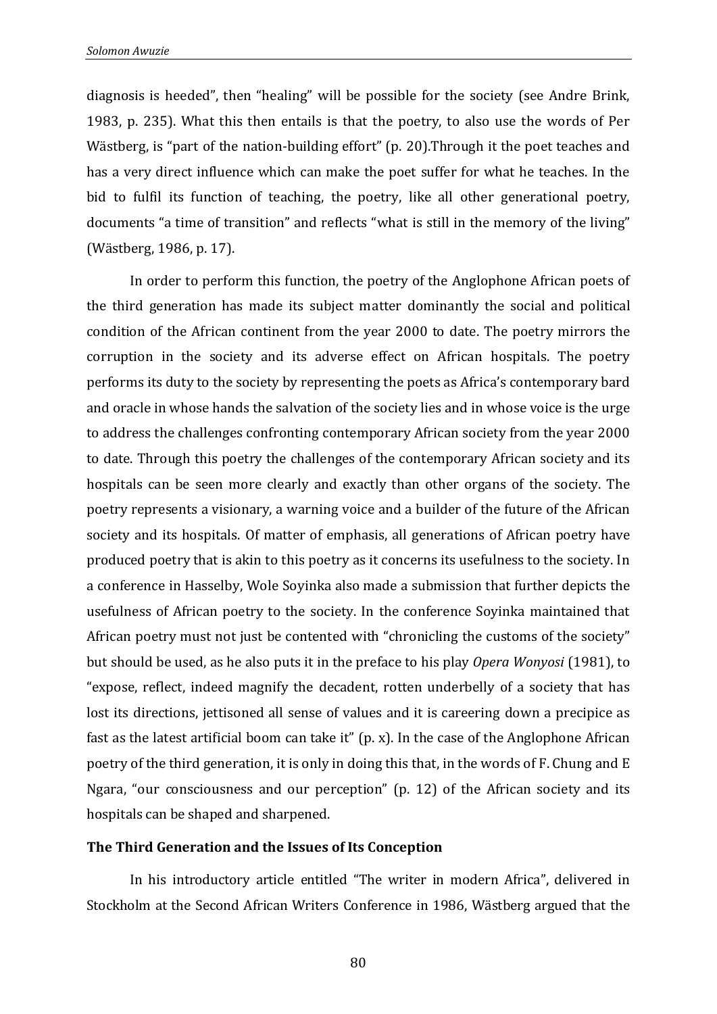diagnosis is heeded", then "healing" will be possible for the society (see Andre Brink, 1983, p. 235). What this then entails is that the poetry, to also use the words of Per Wästberg, is "part of the nation-building effort" (p. 20).Through it the poet teaches and has a very direct influence which can make the poet suffer for what he teaches. In the bid to fulfil its function of teaching, the poetry, like all other generational poetry, documents "a time of transition" and reflects "what is still in the memory of the living" (Wästberg, 1986, p. 17).

In order to perform this function, the poetry of the Anglophone African poets of the third generation has made its subject matter dominantly the social and political condition of the African continent from the year 2000 to date. The poetry mirrors the corruption in the society and its adverse effect on African hospitals. The poetry performs its duty to the society by representing the poets as Africa's contemporary bard and oracle in whose hands the salvation of the society lies and in whose voice is the urge to address the challenges confronting contemporary African society from the year 2000 to date. Through this poetry the challenges of the contemporary African society and its hospitals can be seen more clearly and exactly than other organs of the society. The poetry represents a visionary, a warning voice and a builder of the future of the African society and its hospitals. Of matter of emphasis, all generations of African poetry have produced poetry that is akin to this poetry as it concerns its usefulness to the society. In a conference in Hasselby, Wole Soyinka also made a submission that further depicts the usefulness of African poetry to the society. In the conference Soyinka maintained that African poetry must not just be contented with "chronicling the customs of the society" but should be used, as he also puts it in the preface to his play *Opera Wonyosi* (1981), to "expose, reflect, indeed magnify the decadent, rotten underbelly of a society that has lost its directions, jettisoned all sense of values and it is careering down a precipice as fast as the latest artificial boom can take it" (p. x). In the case of the Anglophone African poetry of the third generation, it is only in doing this that, in the words of F. Chung and E Ngara, "our consciousness and our perception" (p. 12) of the African society and its hospitals can be shaped and sharpened.

#### **The Third Generation and the Issues of Its Conception**

In his introductory article entitled "The writer in modern Africa", delivered in Stockholm at the Second African Writers Conference in 1986, Wästberg argued that the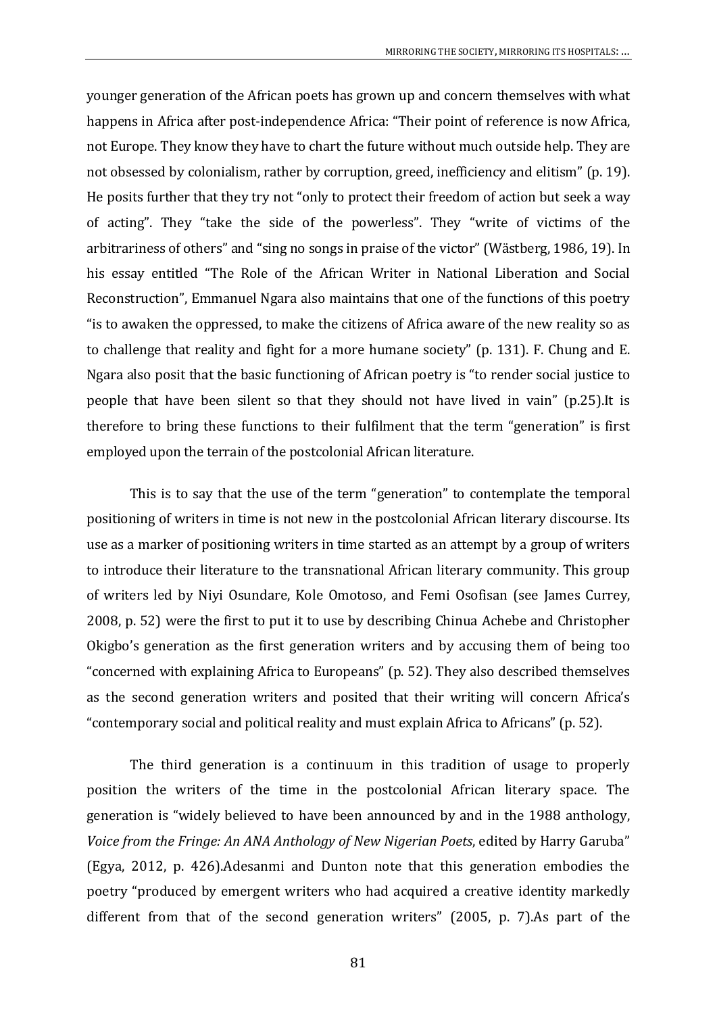younger generation of the African poets has grown up and concern themselves with what happens in Africa after post-independence Africa: "Their point of reference is now Africa, not Europe. They know they have to chart the future without much outside help. They are not obsessed by colonialism, rather by corruption, greed, inefficiency and elitism" (p. 19). He posits further that they try not "only to protect their freedom of action but seek a way of acting". They "take the side of the powerless". They "write of victims of the arbitrariness of others" and "sing no songs in praise of the victor" (Wästberg, 1986, 19). In his essay entitled "The Role of the African Writer in National Liberation and Social Reconstruction", Emmanuel Ngara also maintains that one of the functions of this poetry "is to awaken the oppressed, to make the citizens of Africa aware of the new reality so as to challenge that reality and fight for a more humane society" (p. 131). F. Chung and E. Ngara also posit that the basic functioning of African poetry is "to render social justice to people that have been silent so that they should not have lived in vain" (p.25).It is therefore to bring these functions to their fulfilment that the term "generation" is first employed upon the terrain of the postcolonial African literature.

This is to say that the use of the term "generation" to contemplate the temporal positioning of writers in time is not new in the postcolonial African literary discourse. Its use as a marker of positioning writers in time started as an attempt by a group of writers to introduce their literature to the transnational African literary community. This group of writers led by Niyi Osundare, Kole Omotoso, and Femi Osofisan (see James Currey, 2008, p. 52) were the first to put it to use by describing Chinua Achebe and Christopher Okigbo's generation as the first generation writers and by accusing them of being too "concerned with explaining Africa to Europeans" (p. 52). They also described themselves as the second generation writers and posited that their writing will concern Africa's "contemporary social and political reality and must explain Africa to Africans" (p. 52).

The third generation is a continuum in this tradition of usage to properly position the writers of the time in the postcolonial African literary space. The generation is "widely believed to have been announced by and in the 1988 anthology, *Voice from the Fringe: An ANA Anthology of New Nigerian Poets*, edited by Harry Garuba" (Egya, 2012, p. 426).Adesanmi and Dunton note that this generation embodies the poetry "produced by emergent writers who had acquired a creative identity markedly different from that of the second generation writers" (2005, p. 7).As part of the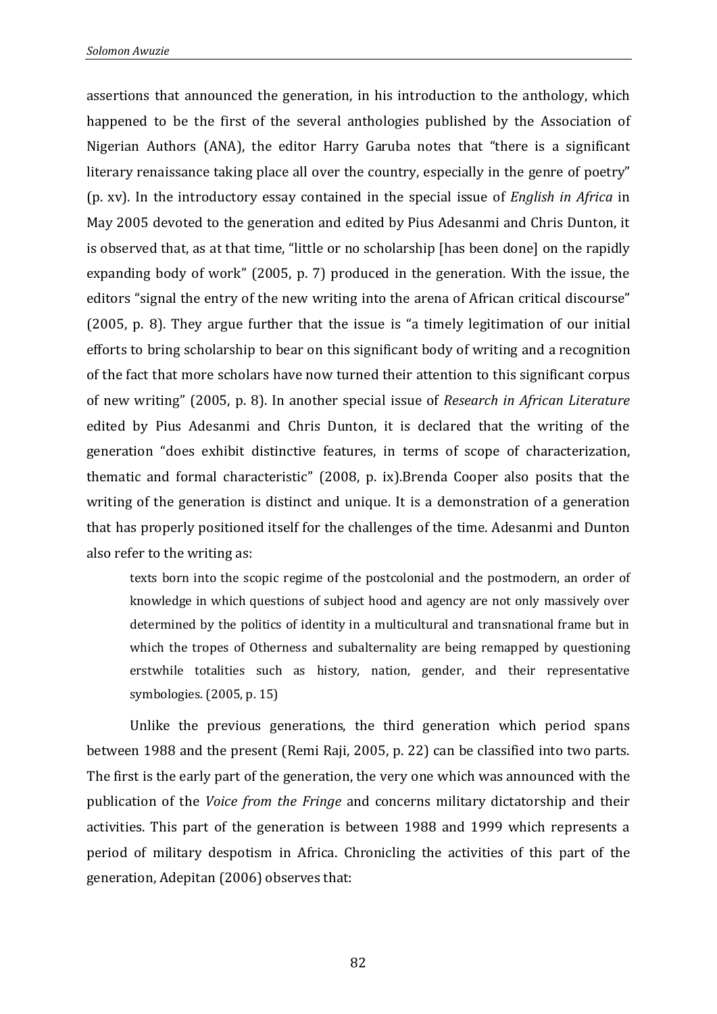assertions that announced the generation, in his introduction to the anthology, which happened to be the first of the several anthologies published by the Association of Nigerian Authors (ANA), the editor Harry Garuba notes that "there is a significant literary renaissance taking place all over the country, especially in the genre of poetry" (p. xv). In the introductory essay contained in the special issue of *English in Africa* in May 2005 devoted to the generation and edited by Pius Adesanmi and Chris Dunton, it is observed that, as at that time, "little or no scholarship [has been done] on the rapidly expanding body of work" (2005, p. 7) produced in the generation. With the issue, the editors "signal the entry of the new writing into the arena of African critical discourse" (2005, p. 8). They argue further that the issue is "a timely legitimation of our initial efforts to bring scholarship to bear on this significant body of writing and a recognition of the fact that more scholars have now turned their attention to this significant corpus of new writing" (2005, p. 8). In another special issue of *Research in African Literature* edited by Pius Adesanmi and Chris Dunton, it is declared that the writing of the generation "does exhibit distinctive features, in terms of scope of characterization, thematic and formal characteristic" (2008, p. ix).Brenda Cooper also posits that the writing of the generation is distinct and unique. It is a demonstration of a generation that has properly positioned itself for the challenges of the time. Adesanmi and Dunton also refer to the writing as:

texts born into the scopic regime of the postcolonial and the postmodern, an order of knowledge in which questions of subject hood and agency are not only massively over determined by the politics of identity in a multicultural and transnational frame but in which the tropes of Otherness and subalternality are being remapped by questioning erstwhile totalities such as history, nation, gender, and their representative symbologies. (2005, p. 15)

Unlike the previous generations, the third generation which period spans between 1988 and the present (Remi Raji, 2005, p. 22) can be classified into two parts. The first is the early part of the generation, the very one which was announced with the publication of the *Voice from the Fringe* and concerns military dictatorship and their activities. This part of the generation is between 1988 and 1999 which represents a period of military despotism in Africa. Chronicling the activities of this part of the generation, Adepitan (2006) observes that: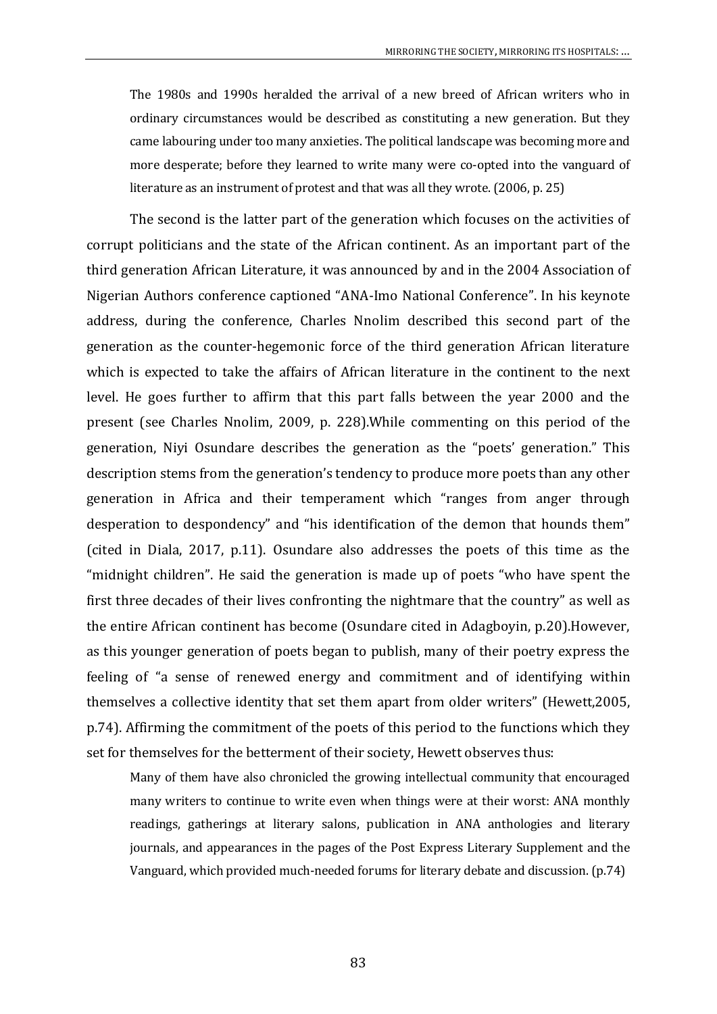The 1980s and 1990s heralded the arrival of a new breed of African writers who in ordinary circumstances would be described as constituting a new generation. But they came labouring under too many anxieties. The political landscape was becoming more and more desperate; before they learned to write many were co-opted into the vanguard of literature as an instrument of protest and that was all they wrote. (2006, p. 25)

The second is the latter part of the generation which focuses on the activities of corrupt politicians and the state of the African continent. As an important part of the third generation African Literature, it was announced by and in the 2004 Association of Nigerian Authors conference captioned "ANA-Imo National Conference". In his keynote address, during the conference, Charles Nnolim described this second part of the generation as the counter-hegemonic force of the third generation African literature which is expected to take the affairs of African literature in the continent to the next level. He goes further to affirm that this part falls between the year 2000 and the present (see Charles Nnolim, 2009, p. 228).While commenting on this period of the generation, Niyi Osundare describes the generation as the "poets' generation." This description stems from the generation's tendency to produce more poets than any other generation in Africa and their temperament which "ranges from anger through desperation to despondency" and "his identification of the demon that hounds them" (cited in Diala, 2017, p.11). Osundare also addresses the poets of this time as the "midnight children". He said the generation is made up of poets "who have spent the first three decades of their lives confronting the nightmare that the country" as well as the entire African continent has become (Osundare cited in Adagboyin, p.20).However, as this younger generation of poets began to publish, many of their poetry express the feeling of "a sense of renewed energy and commitment and of identifying within themselves a collective identity that set them apart from older writers" (Hewett,2005, p.74). Affirming the commitment of the poets of this period to the functions which they set for themselves for the betterment of their society, Hewett observes thus:

Many of them have also chronicled the growing intellectual community that encouraged many writers to continue to write even when things were at their worst: ANA monthly readings, gatherings at literary salons, publication in ANA anthologies and literary journals, and appearances in the pages of the Post Express Literary Supplement and the Vanguard, which provided much-needed forums for literary debate and discussion. (p.74)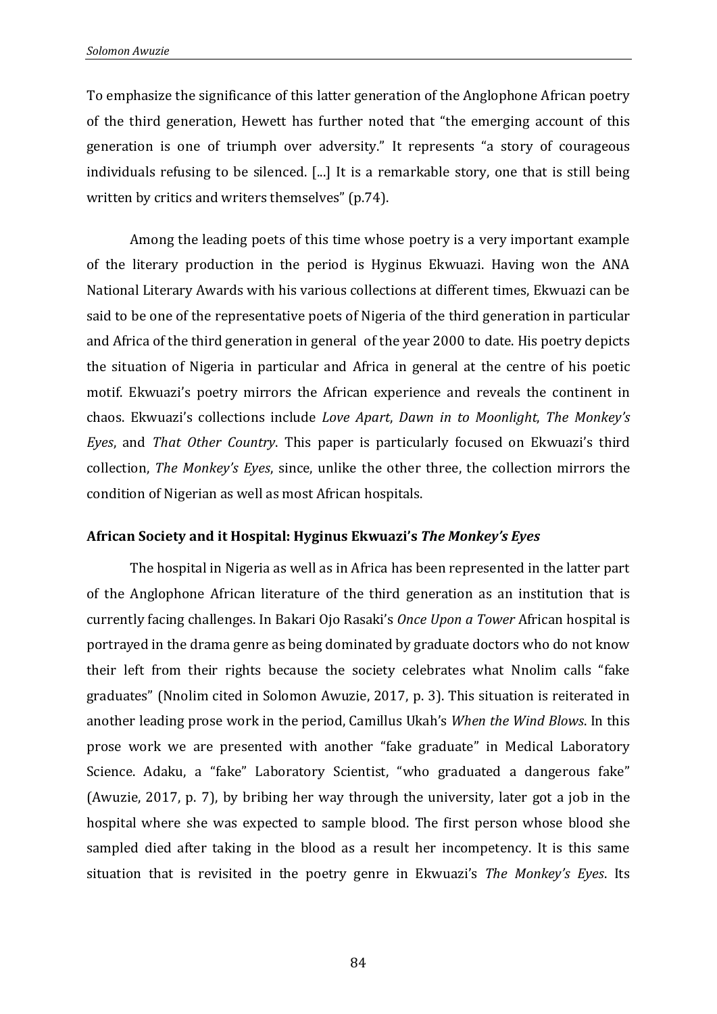To emphasize the significance of this latter generation of the Anglophone African poetry of the third generation, Hewett has further noted that "the emerging account of this generation is one of triumph over adversity." It represents "a story of courageous individuals refusing to be silenced. [...] It is a remarkable story, one that is still being written by critics and writers themselves" (p.74).

Among the leading poets of this time whose poetry is a very important example of the literary production in the period is Hyginus Ekwuazi. Having won the ANA National Literary Awards with his various collections at different times, Ekwuazi can be said to be one of the representative poets of Nigeria of the third generation in particular and Africa of the third generation in general of the year 2000 to date. His poetry depicts the situation of Nigeria in particular and Africa in general at the centre of his poetic motif. Ekwuazi's poetry mirrors the African experience and reveals the continent in chaos. Ekwuazi's collections include *Love Apart*, *Dawn in to Moonlight*, *The Monkey's Eyes*, and *That Other Country*. This paper is particularly focused on Ekwuazi's third collection, *The Monkey's Eyes*, since, unlike the other three, the collection mirrors the condition of Nigerian as well as most African hospitals.

### **African Society and it Hospital: Hyginus Ekwuazi's** *The Monkey's Eyes*

The hospital in Nigeria as well as in Africa has been represented in the latter part of the Anglophone African literature of the third generation as an institution that is currently facing challenges. In Bakari Ojo Rasaki's *Once Upon a Tower* African hospital is portrayed in the drama genre as being dominated by graduate doctors who do not know their left from their rights because the society celebrates what Nnolim calls "fake graduates" (Nnolim cited in Solomon Awuzie, 2017, p. 3). This situation is reiterated in another leading prose work in the period, Camillus Ukah's *When the Wind Blows*. In this prose work we are presented with another "fake graduate" in Medical Laboratory Science. Adaku, a "fake" Laboratory Scientist, "who graduated a dangerous fake" (Awuzie, 2017, p. 7), by bribing her way through the university, later got a job in the hospital where she was expected to sample blood. The first person whose blood she sampled died after taking in the blood as a result her incompetency. It is this same situation that is revisited in the poetry genre in Ekwuazi's *The Monkey's Eyes*. Its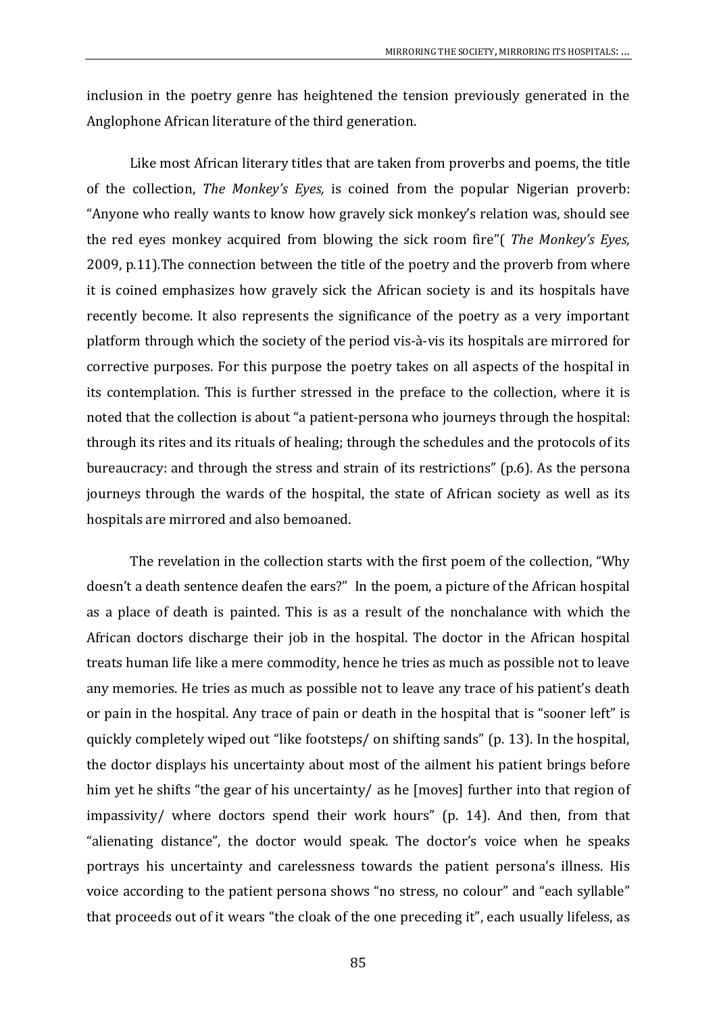inclusion in the poetry genre has heightened the tension previously generated in the Anglophone African literature of the third generation.

Like most African literary titles that are taken from proverbs and poems, the title of the collection, *The Monkey's Eyes,* is coined from the popular Nigerian proverb: "Anyone who really wants to know how gravely sick monkey's relation was, should see the red eyes monkey acquired from blowing the sick room fire"( *The Monkey's Eyes*, 2009, p.11)*.*The connection between the title of the poetry and the proverb from where it is coined emphasizes how gravely sick the African society is and its hospitals have recently become. It also represents the significance of the poetry as a very important platform through which the society of the period vis-à-vis its hospitals are mirrored for corrective purposes. For this purpose the poetry takes on all aspects of the hospital in its contemplation. This is further stressed in the preface to the collection, where it is noted that the collection is about "a patient-persona who journeys through the hospital: through its rites and its rituals of healing; through the schedules and the protocols of its bureaucracy: and through the stress and strain of its restrictions" (p.6). As the persona journeys through the wards of the hospital, the state of African society as well as its hospitals are mirrored and also bemoaned.

The revelation in the collection starts with the first poem of the collection, "Why doesn't a death sentence deafen the ears?" In the poem, a picture of the African hospital as a place of death is painted. This is as a result of the nonchalance with which the African doctors discharge their job in the hospital. The doctor in the African hospital treats human life like a mere commodity, hence he tries as much as possible not to leave any memories. He tries as much as possible not to leave any trace of his patient's death or pain in the hospital. Any trace of pain or death in the hospital that is "sooner left" is quickly completely wiped out "like footsteps/ on shifting sands" (p. 13). In the hospital, the doctor displays his uncertainty about most of the ailment his patient brings before him yet he shifts "the gear of his uncertainty/ as he [moves] further into that region of impassivity/ where doctors spend their work hours" (p. 14). And then, from that "alienating distance", the doctor would speak. The doctor's voice when he speaks portrays his uncertainty and carelessness towards the patient persona's illness. His voice according to the patient persona shows "no stress, no colour" and "each syllable" that proceeds out of it wears "the cloak of the one preceding it", each usually lifeless, as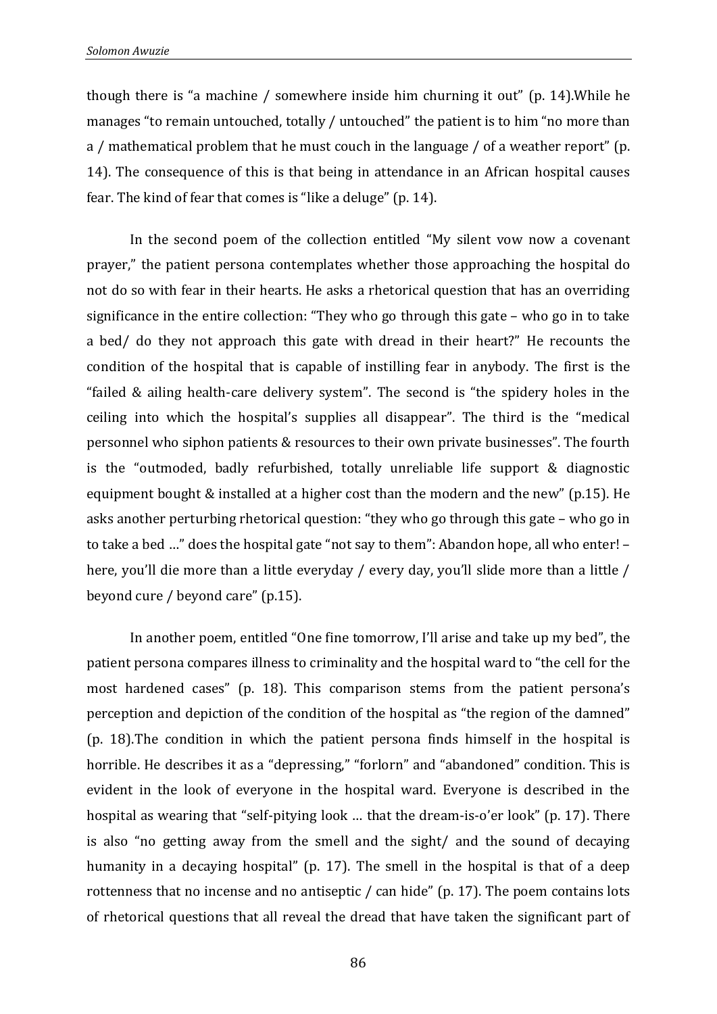though there is "a machine / somewhere inside him churning it out" (p. 14).While he manages "to remain untouched, totally / untouched" the patient is to him "no more than a / mathematical problem that he must couch in the language / of a weather report" (p. 14). The consequence of this is that being in attendance in an African hospital causes fear. The kind of fear that comes is "like a deluge" (p. 14).

In the second poem of the collection entitled "My silent vow now a covenant prayer," the patient persona contemplates whether those approaching the hospital do not do so with fear in their hearts. He asks a rhetorical question that has an overriding significance in the entire collection: "They who go through this gate – who go in to take a bed/ do they not approach this gate with dread in their heart?" He recounts the condition of the hospital that is capable of instilling fear in anybody. The first is the "failed & ailing health-care delivery system". The second is "the spidery holes in the ceiling into which the hospital's supplies all disappear". The third is the "medical personnel who siphon patients & resources to their own private businesses". The fourth is the "outmoded, badly refurbished, totally unreliable life support & diagnostic equipment bought & installed at a higher cost than the modern and the new" (p.15). He asks another perturbing rhetorical question: "they who go through this gate – who go in to take a bed …" does the hospital gate "not say to them": Abandon hope, all who enter! – here, you'll die more than a little everyday / every day, you'll slide more than a little / beyond cure / beyond care" (p.15).

In another poem, entitled "One fine tomorrow, I'll arise and take up my bed", the patient persona compares illness to criminality and the hospital ward to "the cell for the most hardened cases" (p. 18). This comparison stems from the patient persona's perception and depiction of the condition of the hospital as "the region of the damned" (p. 18).The condition in which the patient persona finds himself in the hospital is horrible. He describes it as a "depressing," "forlorn" and "abandoned" condition. This is evident in the look of everyone in the hospital ward. Everyone is described in the hospital as wearing that "self-pitying look … that the dream-is-o'er look" (p. 17). There is also "no getting away from the smell and the sight/ and the sound of decaying humanity in a decaying hospital" (p. 17). The smell in the hospital is that of a deep rottenness that no incense and no antiseptic / can hide" (p. 17). The poem contains lots of rhetorical questions that all reveal the dread that have taken the significant part of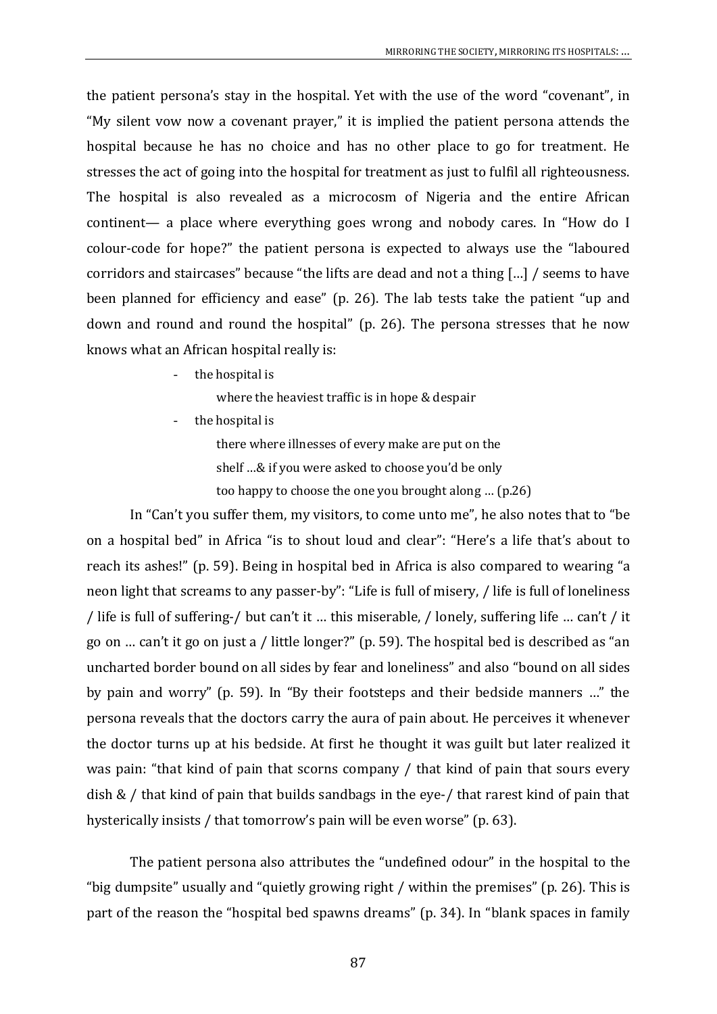the patient persona's stay in the hospital. Yet with the use of the word "covenant", in "My silent vow now a covenant prayer," it is implied the patient persona attends the hospital because he has no choice and has no other place to go for treatment. He stresses the act of going into the hospital for treatment as just to fulfil all righteousness. The hospital is also revealed as a microcosm of Nigeria and the entire African continent— a place where everything goes wrong and nobody cares. In "How do I colour-code for hope?" the patient persona is expected to always use the "laboured corridors and staircases" because "the lifts are dead and not a thing […] / seems to have been planned for efficiency and ease" (p. 26). The lab tests take the patient "up and down and round and round the hospital" (p. 26). The persona stresses that he now knows what an African hospital really is:

the hospital is

where the heaviest traffic is in hope & despair

the hospital is

there where illnesses of every make are put on the shelf …& if you were asked to choose you'd be only too happy to choose the one you brought along … (p.26)

In "Can't you suffer them, my visitors, to come unto me", he also notes that to "be on a hospital bed" in Africa "is to shout loud and clear": "Here's a life that's about to reach its ashes!" (p. 59). Being in hospital bed in Africa is also compared to wearing "a neon light that screams to any passer-by": "Life is full of misery, / life is full of loneliness / life is full of suffering-/ but can't it … this miserable, / lonely, suffering life … can't / it go on … can't it go on just a / little longer?" (p. 59). The hospital bed is described as "an uncharted border bound on all sides by fear and loneliness" and also "bound on all sides by pain and worry" (p. 59). In "By their footsteps and their bedside manners …" the persona reveals that the doctors carry the aura of pain about. He perceives it whenever the doctor turns up at his bedside. At first he thought it was guilt but later realized it was pain: "that kind of pain that scorns company / that kind of pain that sours every dish & / that kind of pain that builds sandbags in the eye-/ that rarest kind of pain that hysterically insists / that tomorrow's pain will be even worse" (p. 63).

The patient persona also attributes the "undefined odour" in the hospital to the "big dumpsite" usually and "quietly growing right / within the premises" (p. 26). This is part of the reason the "hospital bed spawns dreams" (p. 34). In "blank spaces in family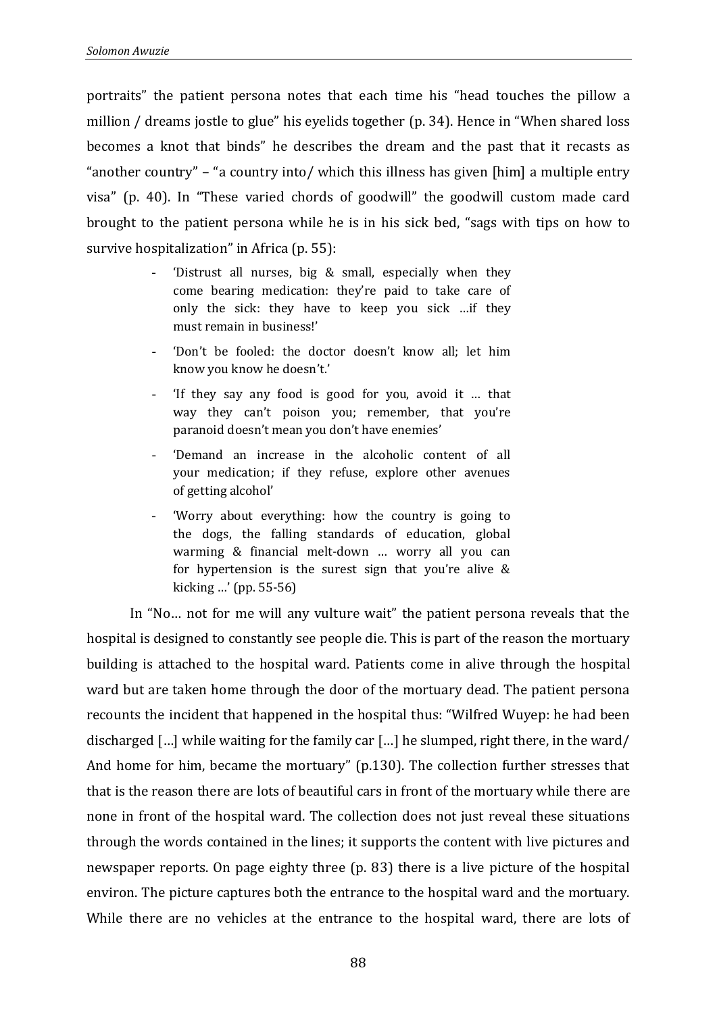portraits" the patient persona notes that each time his "head touches the pillow a million / dreams jostle to glue" his eyelids together (p. 34). Hence in "When shared loss becomes a knot that binds" he describes the dream and the past that it recasts as "another country" – "a country into/ which this illness has given [him] a multiple entry visa" (p. 40). In "These varied chords of goodwill" the goodwill custom made card brought to the patient persona while he is in his sick bed, "sags with tips on how to survive hospitalization" in Africa (p. 55):

- 'Distrust all nurses, big  $&$  small, especially when they come bearing medication: they're paid to take care of only the sick: they have to keep you sick …if they must remain in business!'
- 'Don't be fooled: the doctor doesn't know all; let him know you know he doesn't.'
- 'If they say any food is good for you, avoid it … that way they can't poison you; remember, that you're paranoid doesn't mean you don't have enemies'
- 'Demand an increase in the alcoholic content of all your medication; if they refuse, explore other avenues of getting alcohol'
- 'Worry about everything: how the country is going to the dogs, the falling standards of education, global warming & financial melt-down … worry all you can for hypertension is the surest sign that you're alive & kicking …'(pp. 55-56)

In "No… not for me will any vulture wait" the patient persona reveals that the hospital is designed to constantly see people die. This is part of the reason the mortuary building is attached to the hospital ward. Patients come in alive through the hospital ward but are taken home through the door of the mortuary dead. The patient persona recounts the incident that happened in the hospital thus: "Wilfred Wuyep: he had been discharged […] while waiting for the family car […] he slumped, right there, in the ward/ And home for him, became the mortuary" (p.130). The collection further stresses that that is the reason there are lots of beautiful cars in front of the mortuary while there are none in front of the hospital ward. The collection does not just reveal these situations through the words contained in the lines; it supports the content with live pictures and newspaper reports. On page eighty three (p. 83) there is a live picture of the hospital environ. The picture captures both the entrance to the hospital ward and the mortuary. While there are no vehicles at the entrance to the hospital ward, there are lots of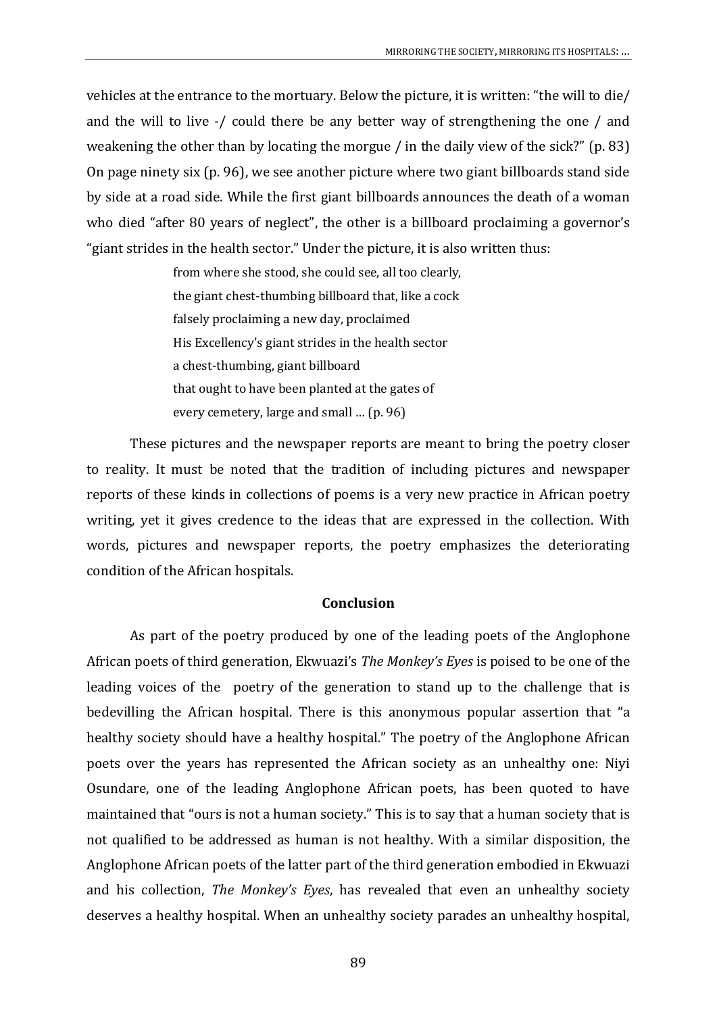vehicles at the entrance to the mortuary. Below the picture, it is written: "the will to die/ and the will to live -/ could there be any better way of strengthening the one / and weakening the other than by locating the morgue / in the daily view of the sick?" (p. 83) On page ninety six (p. 96), we see another picture where two giant billboards stand side by side at a road side. While the first giant billboards announces the death of a woman who died "after 80 years of neglect", the other is a billboard proclaiming a governor's "giant strides in the health sector." Under the picture, it is also written thus:

> from where she stood, she could see, all too clearly, the giant chest-thumbing billboard that, like a cock falsely proclaiming a new day, proclaimed His Excellency's giant strides in the health sector a chest-thumbing, giant billboard that ought to have been planted at the gates of every cemetery, large and small … (p. 96)

These pictures and the newspaper reports are meant to bring the poetry closer to reality. It must be noted that the tradition of including pictures and newspaper reports of these kinds in collections of poems is a very new practice in African poetry writing, yet it gives credence to the ideas that are expressed in the collection. With words, pictures and newspaper reports, the poetry emphasizes the deteriorating condition of the African hospitals.

#### **Conclusion**

As part of the poetry produced by one of the leading poets of the Anglophone African poets of third generation, Ekwuazi's *The Monkey's Eyes* is poised to be one of the leading voices of the poetry of the generation to stand up to the challenge that is bedevilling the African hospital. There is this anonymous popular assertion that "a healthy society should have a healthy hospital." The poetry of the Anglophone African poets over the years has represented the African society as an unhealthy one: Niyi Osundare, one of the leading Anglophone African poets, has been quoted to have maintained that "ours is not a human society." This is to say that a human society that is not qualified to be addressed as human is not healthy. With a similar disposition, the Anglophone African poets of the latter part of the third generation embodied in Ekwuazi and his collection, *The Monkey's Eyes*, has revealed that even an unhealthy society deserves a healthy hospital. When an unhealthy society parades an unhealthy hospital,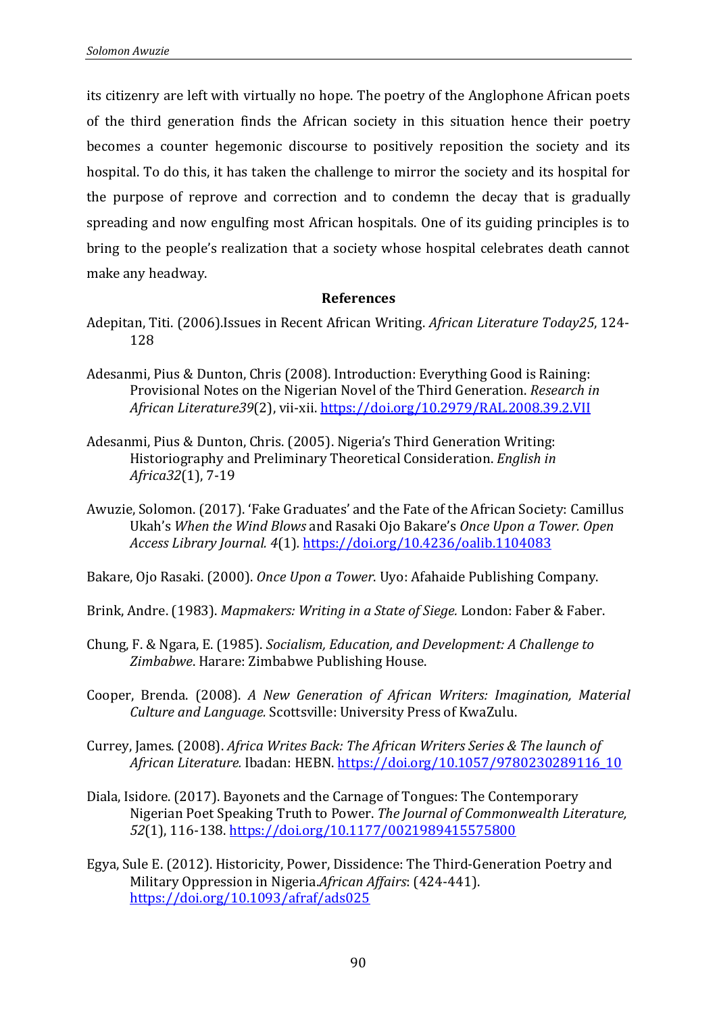its citizenry are left with virtually no hope. The poetry of the Anglophone African poets of the third generation finds the African society in this situation hence their poetry becomes a counter hegemonic discourse to positively reposition the society and its hospital. To do this, it has taken the challenge to mirror the society and its hospital for the purpose of reprove and correction and to condemn the decay that is gradually spreading and now engulfing most African hospitals. One of its guiding principles is to bring to the people's realization that a society whose hospital celebrates death cannot make any headway.

# **References**

- Adepitan, Titi. (2006).Issues in Recent African Writing. *African Literature Today25*, 124- 128
- Adesanmi, Pius & Dunton, Chris (2008). Introduction: Everything Good is Raining: Provisional Notes on the Nigerian Novel of the Third Generation. *Research in African Literature39*(2), vii-xii. <https://doi.org/10.2979/RAL.2008.39.2.VII>
- Adesanmi, Pius & Dunton, Chris. (2005). Nigeria's Third Generation Writing: Historiography and Preliminary Theoretical Consideration. *English in Africa32*(1), 7-19
- Awuzie, Solomon. (2017). 'Fake Graduates' and the Fate of the African Society: Camillus Ukah's *When the Wind Blows* and Rasaki Ojo Bakare's *Once Upon a Tower. Open Access Library Journal. 4*(1)*.* <https://doi.org/10.4236/oalib.1104083>

Bakare, Ojo Rasaki. (2000). *Once Upon a Tower*. Uyo: Afahaide Publishing Company.

- Brink, Andre. (1983). *Mapmakers: Writing in a State of Siege.* London: Faber & Faber.
- Chung, F. & Ngara, E. (1985). *Socialism, Education, and Development: A Challenge to Zimbabwe*. Harare: Zimbabwe Publishing House.

Cooper, Brenda. (2008). *A New Generation of African Writers: Imagination, Material Culture and Language.* Scottsville: University Press of KwaZulu.

- Currey, James. (2008). *Africa Writes Back: The African Writers Series & The launch of African Literature.* Ibadan: HEBN. [https://doi.org/10.1057/9780230289116\\_10](https://doi.org/10.1057/9780230289116_10)
- Diala, Isidore. (2017). Bayonets and the Carnage of Tongues: The Contemporary Nigerian Poet Speaking Truth to Power. *The Journal of Commonwealth Literature, 52*(1), 116-138[. https://doi.org/10.1177/0021989415575800](https://doi.org/10.1177/0021989415575800)
- Egya, Sule E. (2012). Historicity, Power, Dissidence: The Third-Generation Poetry and Military Oppression in Nigeria.*African Affairs*: (424-441). <https://doi.org/10.1093/afraf/ads025>